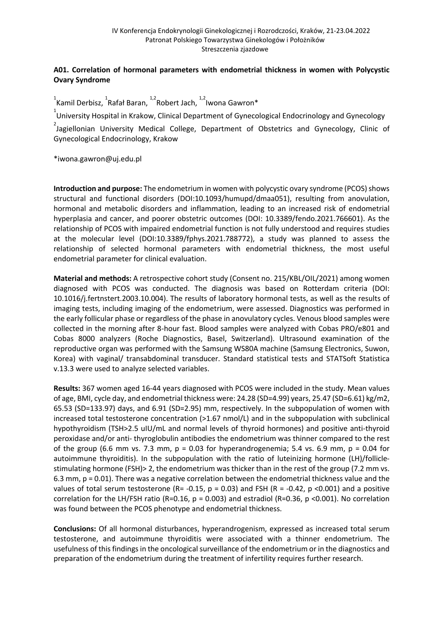# **A01. Correlation of hormonal parameters with endometrial thickness in women with Polycystic Ovary Syndrome**

 $\int_{1}^{1}$ Kamil Derbisz,  $\int_{1}^{1}$ Rafał Baran,  $\int_{1}^{1,2}$ Robert Jach,  $\int_{1}^{1,2}$ Iwona Gawron $^*$ 

 $1$ University Hospital in Krakow, Clinical Department of Gynecological Endocrinology and Gynecology

 $^{2}$ Jagiellonian University Medical College, Department of Obstetrics and Gynecology, Clinic of Gynecological Endocrinology, Krakow

\*iwona.gawron@uj.edu.pl

**Introduction and purpose:** The endometrium in women with polycystic ovary syndrome (PCOS) shows structural and functional disorders (DOI:10.1093/humupd/dmaa051), resulting from anovulation, hormonal and metabolic disorders and inflammation, leading to an increased risk of endometrial hyperplasia and cancer, and poorer obstetric outcomes (DOI: 10.3389/fendo.2021.766601). As the relationship of PCOS with impaired endometrial function is not fully understood and requires studies at the molecular level (DOI:10.3389/fphys.2021.788772), a study was planned to assess the relationship of selected hormonal parameters with endometrial thickness, the most useful endometrial parameter for clinical evaluation.

**Material and methods:** A retrospective cohort study (Consent no. 215/KBL/OIL/2021) among women diagnosed with PCOS was conducted. The diagnosis was based on Rotterdam criteria (DOI: 10.1016/j.fertnstert.2003.10.004). The results of laboratory hormonal tests, as well as the results of imaging tests, including imaging of the endometrium, were assessed. Diagnostics was performed in the early follicular phase or regardless of the phase in anovulatory cycles. Venous blood samples were collected in the morning after 8-hour fast. Blood samples were analyzed with Cobas PRO/e801 and Cobas 8000 analyzers (Roche Diagnostics, Basel, Switzerland). Ultrasound examination of the reproductive organ was performed with the Samsung WS80A machine (Samsung Electronics, Suwon, Korea) with vaginal/ transabdominal transducer. Standard statistical tests and STATSoft Statistica v.13.3 were used to analyze selected variables.

**Results:** 367 women aged 16-44 years diagnosed with PCOS were included in the study. Mean values of age, BMI, cycle day, and endometrial thickness were: 24.28 (SD=4.99) years, 25.47 (SD=6.61) kg/m2, 65.53 (SD=133.97) days, and 6.91 (SD=2.95) mm, respectively. In the subpopulation of women with increased total testosterone concentration (>1.67 nmol/L) and in the subpopulation with subclinical hypothyroidism (TSH>2.5 uIU/mL and normal levels of thyroid hormones) and positive anti-thyroid peroxidase and/or anti- thyroglobulin antibodies the endometrium was thinner compared to the rest of the group (6.6 mm vs. 7.3 mm,  $p = 0.03$  for hyperandrogenemia; 5.4 vs. 6.9 mm,  $p = 0.04$  for autoimmune thyroiditis). In the subpopulation with the ratio of luteinizing hormone (LH)/folliclestimulating hormone (FSH)> 2, the endometrium was thicker than in the rest of the group (7.2 mm vs. 6.3 mm,  $p = 0.01$ ). There was a negative correlation between the endometrial thickness value and the values of total serum testosterone (R= -0.15,  $p = 0.03$ ) and FSH (R = -0.42,  $p$  <0.001) and a positive correlation for the LH/FSH ratio (R=0.16,  $p = 0.003$ ) and estradiol (R=0.36,  $p \le 0.001$ ). No correlation was found between the PCOS phenotype and endometrial thickness.

**Conclusions:** Of all hormonal disturbances, hyperandrogenism, expressed as increased total serum testosterone, and autoimmune thyroiditis were associated with a thinner endometrium. The usefulness of this findings in the oncological surveillance of the endometrium or in the diagnostics and preparation of the endometrium during the treatment of infertility requires further research.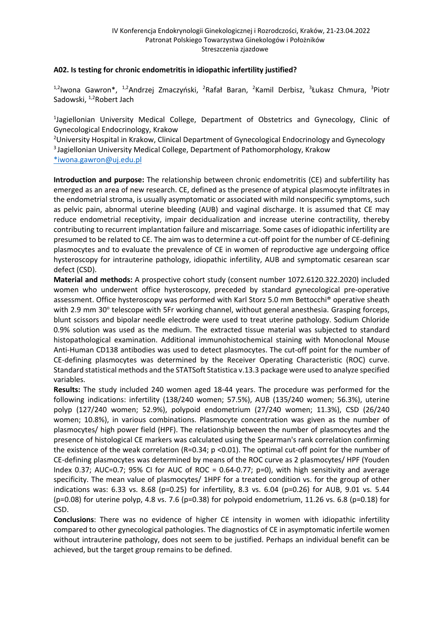## **A02. Is testing for chronic endometritis in idiopathic infertility justified?**

<sup>1,2</sup>lwona Gawron\*, <sup>1,2</sup>Andrzej Zmaczyński, <sup>2</sup>Rafał Baran, <sup>2</sup>Kamil Derbisz, <sup>3</sup>Łukasz Chmura, <sup>3</sup>Piotr Sadowski, <sup>1,2</sup>Robert Jach

<sup>1</sup>Jagiellonian University Medical College, Department of Obstetrics and Gynecology, Clinic of Gynecological Endocrinology, Krakow

<sup>2</sup>University Hospital in Krakow, Clinical Department of Gynecological Endocrinology and Gynecology <sup>3</sup> Jagiellonian University Medical College, Department of Pathomorphology, Krakow

\*iwona.gawron@uj.edu.pl

**Introduction and purpose:** The relationship between chronic endometritis (CE) and subfertility has emerged as an area of new research. CE, defined as the presence of atypical plasmocyte infiltrates in the endometrial stroma, is usually asymptomatic or associated with mild nonspecific symptoms, such as pelvic pain, abnormal uterine bleeding (AUB) and vaginal discharge. It is assumed that CE may reduce endometrial receptivity, impair decidualization and increase uterine contractility, thereby contributing to recurrent implantation failure and miscarriage. Some cases of idiopathic infertility are presumed to be related to CE. The aim was to determine a cut-off point for the number of CE-defining plasmocytes and to evaluate the prevalence of CE in women of reproductive age undergoing office hysteroscopy for intrauterine pathology, idiopathic infertility, AUB and symptomatic cesarean scar defect (CSD).

**Material and methods:** A prospective cohort study (consent number 1072.6120.322.2020) included women who underwent office hysteroscopy, preceded by standard gynecological pre-operative assessment. Office hysteroscopy was performed with Karl Storz 5.0 mm Bettocchi® operative sheath with 2.9 mm 30° telescope with 5Fr working channel, without general anesthesia. Grasping forceps, blunt scissors and bipolar needle electrode were used to treat uterine pathology. Sodium Chloride 0.9% solution was used as the medium. The extracted tissue material was subjected to standard histopathological examination. Additional immunohistochemical staining with Monoclonal Mouse Anti-Human CD138 antibodies was used to detect plasmocytes. The cut-off point for the number of CE-defining plasmocytes was determined by the Receiver Operating Characteristic (ROC) curve. Standard statistical methods and the STATSoft Statistica v.13.3 package were used to analyze specified variables.

**Results:** The study included 240 women aged 18-44 years. The procedure was performed for the following indications: infertility (138/240 women; 57.5%), AUB (135/240 women; 56.3%), uterine polyp (127/240 women; 52.9%), polypoid endometrium (27/240 women; 11.3%), CSD (26/240 women; 10.8%), in various combinations. Plasmocyte concentration was given as the number of plasmocytes/ high power field (HPF). The relationship between the number of plasmocytes and the presence of histological CE markers was calculated using the Spearman's rank correlation confirming the existence of the weak correlation (R=0.34; p <0.01). The optimal cut-off point for the number of CE-defining plasmocytes was determined by means of the ROC curve as 2 plasmocytes/ HPF (Youden Index 0.37; AUC=0.7; 95% CI for AUC of ROC = 0.64-0.77; p=0), with high sensitivity and average specificity. The mean value of plasmocytes/ 1HPF for a treated condition vs. for the group of other indications was: 6.33 vs. 8.68 (p=0.25) for infertility, 8.3 vs. 6.04 (p=0.26) for AUB, 9.01 vs. 5.44 (p=0.08) for uterine polyp, 4.8 vs. 7.6 (p=0.38) for polypoid endometrium, 11.26 vs. 6.8 (p=0.18) for CSD.

**Conclusions**: There was no evidence of higher CE intensity in women with idiopathic infertility compared to other gynecological pathologies. The diagnostics of CE in asymptomatic infertile women without intrauterine pathology, does not seem to be justified. Perhaps an individual benefit can be achieved, but the target group remains to be defined.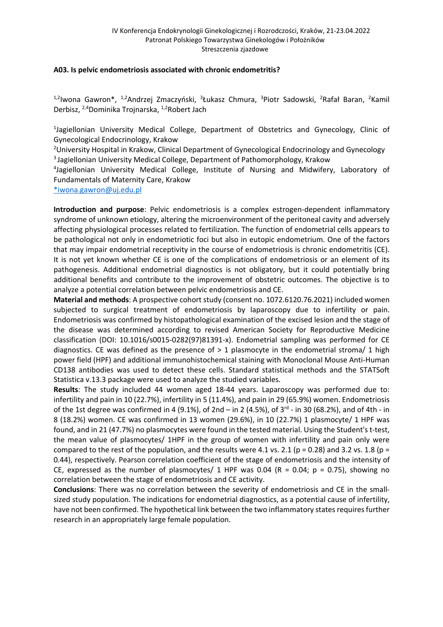#### **A03. Is pelvic endometriosis associated with chronic endometritis?**

<sup>1,2</sup>lwona Gawron\*, <sup>1,2</sup>Andrzej Zmaczyński, <sup>3</sup>Łukasz Chmura, <sup>3</sup>Piotr Sadowski, <sup>2</sup>Rafał Baran, <sup>2</sup>Kamil Derbisz, 2,4Dominika Trojnarska, 1,2Robert Jach

<sup>1</sup>Jagiellonian University Medical College, Department of Obstetrics and Gynecology, Clinic of Gynecological Endocrinology, Krakow

<sup>2</sup>University Hospital in Krakow, Clinical Department of Gynecological Endocrinology and Gynecology 3 Jagiellonian University Medical College, Department of Pathomorphology, Krakow

4 Jagiellonian University Medical College, Institute of Nursing and Midwifery, Laboratory of Fundamentals of Maternity Care, Krakow

\*iwona.gawron@uj.edu.pl

**Introduction and purpose**: Pelvic endometriosis is a complex estrogen-dependent inflammatory syndrome of unknown etiology, altering the microenvironment of the peritoneal cavity and adversely affecting physiological processes related to fertilization. The function of endometrial cells appears to be pathological not only in endometriotic foci but also in eutopic endometrium. One of the factors that may impair endometrial receptivity in the course of endometriosis is chronic endometritis (CE). It is not yet known whether CE is one of the complications of endometriosis or an element of its pathogenesis. Additional endometrial diagnostics is not obligatory, but it could potentially bring additional benefits and contribute to the improvement of obstetric outcomes. The objective is to analyze a potential correlation between pelvic endometriosis and CE.

**Material and methods**: A prospective cohort study (consent no. 1072.6120.76.2021) included women subjected to surgical treatment of endometriosis by laparoscopy due to infertility or pain. Endometriosis was confirmed by histopathological examination of the excised lesion and the stage of the disease was determined according to revised American Society for Reproductive Medicine classification (DOI: 10.1016/s0015-0282(97)81391-x). Endometrial sampling was performed for CE diagnostics. CE was defined as the presence of  $> 1$  plasmocyte in the endometrial stroma/ 1 high power field (HPF) and additional immunohistochemical staining with Monoclonal Mouse Anti-Human CD138 antibodies was used to detect these cells. Standard statistical methods and the STATSoft Statistica v.13.3 package were used to analyze the studied variables.

**Results**: The study included 44 women aged 18-44 years. Laparoscopy was performed due to: infertility and pain in 10 (22.7%), infertility in 5 (11.4%), and pain in 29 (65.9%) women. Endometriosis of the 1st degree was confirmed in 4 (9.1%), of 2nd – in 2 (4.5%), of  $3<sup>rd</sup>$  - in 30 (68.2%), and of 4th - in 8 (18.2%) women. CE was confirmed in 13 women (29.6%), in 10 (22.7%) 1 plasmocyte/ 1 HPF was found, and in 21 (47.7%) no plasmocytes were found in the tested material. Using the Student's t-test, the mean value of plasmocytes/ 1HPF in the group of women with infertility and pain only were compared to the rest of the population, and the results were 4.1 vs. 2.1 (p = 0.28) and 3.2 vs. 1.8 (p = 0.44), respectively. Pearson correlation coefficient of the stage of endometriosis and the intensity of CE, expressed as the number of plasmocytes/ 1 HPF was 0.04 (R = 0.04;  $p = 0.75$ ), showing no correlation between the stage of endometriosis and CE activity.

**Conclusions**: There was no correlation between the severity of endometriosis and CE in the smallsized study population. The indications for endometrial diagnostics, as a potential cause of infertility, have not been confirmed. The hypothetical link between the two inflammatory states requires further research in an appropriately large female population.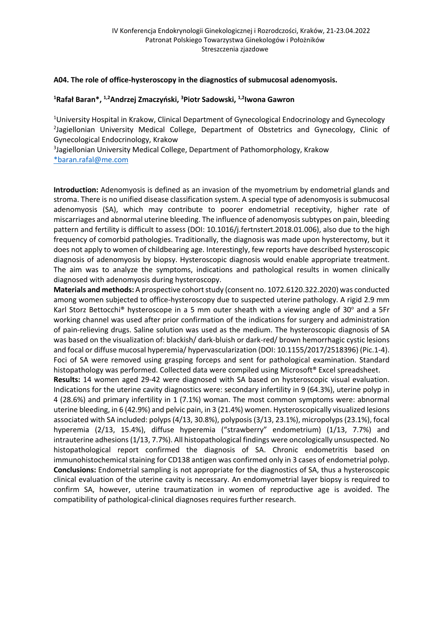#### **A04. The role of office-hysteroscopy in the diagnostics of submucosal adenomyosis.**

#### **1 Rafał Baran\*, 1,2Andrzej Zmaczyński, <sup>3</sup> Piotr Sadowski, 1,2Iwona Gawron**

<sup>1</sup>University Hospital in Krakow, Clinical Department of Gynecological Endocrinology and Gynecology <sup>2</sup>Jagiellonian University Medical College, Department of Obstetrics and Gynecology, Clinic of Gynecological Endocrinology, Krakow

<sup>3</sup>Jagiellonian University Medical College, Department of Pathomorphology, Krakow \*baran.rafal@me.com

**Introduction:** Adenomyosis is defined as an invasion of the myometrium by endometrial glands and stroma. There is no unified disease classification system. A special type of adenomyosis is submucosal adenomyosis (SA), which may contribute to poorer endometrial receptivity, higher rate of miscarriages and abnormal uterine bleeding. The influence of adenomyosis subtypes on pain, bleeding pattern and fertility is difficult to assess (DOI: 10.1016/j.fertnstert.2018.01.006), also due to the high frequency of comorbid pathologies. Traditionally, the diagnosis was made upon hysterectomy, but it does not apply to women of childbearing age. Interestingly, few reports have described hysteroscopic diagnosis of adenomyosis by biopsy. Hysteroscopic diagnosis would enable appropriate treatment. The aim was to analyze the symptoms, indications and pathological results in women clinically diagnosed with adenomyosis during hysteroscopy.

**Materials and methods:** A prospective cohort study (consent no. 1072.6120.322.2020) was conducted among women subjected to office-hysteroscopy due to suspected uterine pathology. A rigid 2.9 mm Karl Storz Bettocchi<sup>®</sup> hysteroscope in a 5 mm outer sheath with a viewing angle of 30 $^{\circ}$  and a 5Fr working channel was used after prior confirmation of the indications for surgery and administration of pain-relieving drugs. Saline solution was used as the medium. The hysteroscopic diagnosis of SA was based on the visualization of: blackish/ dark-bluish or dark-red/ brown hemorrhagic cystic lesions and focal or diffuse mucosal hyperemia/ hypervascularization (DOI: 10.1155/2017/2518396) (Pic.1-4). Foci of SA were removed using grasping forceps and sent for pathological examination. Standard histopathology was performed. Collected data were compiled using Microsoft<sup>®</sup> Excel spreadsheet.

**Results:** 14 women aged 29-42 were diagnosed with SA based on hysteroscopic visual evaluation. Indications for the uterine cavity diagnostics were: secondary infertility in 9 (64.3%), uterine polyp in 4 (28.6%) and primary infertility in 1 (7.1%) woman. The most common symptoms were: abnormal uterine bleeding, in 6 (42.9%) and pelvic pain, in 3 (21.4%) women. Hysteroscopically visualized lesions associated with SA included: polyps (4/13, 30.8%), polyposis (3/13, 23.1%), micropolyps (23.1%), focal hyperemia (2/13, 15.4%), diffuse hyperemia ("strawberry" endometrium) (1/13, 7.7%) and intrauterine adhesions (1/13, 7.7%). All histopathological findings were oncologically unsuspected. No histopathological report confirmed the diagnosis of SA. Chronic endometritis based on immunohistochemical staining for CD138 antigen was confirmed only in 3 cases of endometrial polyp. **Conclusions:** Endometrial sampling is not appropriate for the diagnostics of SA, thus a hysteroscopic clinical evaluation of the uterine cavity is necessary. An endomyometrial layer biopsy is required to confirm SA, however, uterine traumatization in women of reproductive age is avoided. The compatibility of pathological-clinical diagnoses requires further research.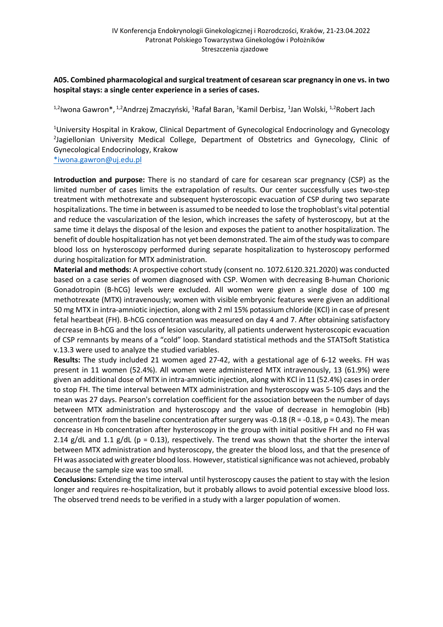### **A05. Combined pharmacological and surgical treatment of cesarean scar pregnancy in one vs. in two hospital stays: a single center experience in a series of cases.**

<sup>1,2</sup>lwona Gawron\*, <sup>1,2</sup>Andrzej Zmaczyński, <sup>1</sup>Rafał Baran, <sup>1</sup>Kamil Derbisz, <sup>1</sup>Jan Wolski, <sup>1,2</sup>Robert Jach

<sup>1</sup>University Hospital in Krakow, Clinical Department of Gynecological Endocrinology and Gynecology <sup>2</sup>Jagiellonian University Medical College, Department of Obstetrics and Gynecology, Clinic of Gynecological Endocrinology, Krakow

\*iwona.gawron@uj.edu.pl

**Introduction and purpose:** There is no standard of care for cesarean scar pregnancy (CSP) as the limited number of cases limits the extrapolation of results. Our center successfully uses two-step treatment with methotrexate and subsequent hysteroscopic evacuation of CSP during two separate hospitalizations. The time in between is assumed to be needed to lose the trophoblast's vital potential and reduce the vascularization of the lesion, which increases the safety of hysteroscopy, but at the same time it delays the disposal of the lesion and exposes the patient to another hospitalization. The benefit of double hospitalization has not yet been demonstrated. The aim of the study was to compare blood loss on hysteroscopy performed during separate hospitalization to hysteroscopy performed during hospitalization for MTX administration.

**Material and methods:** A prospective cohort study (consent no. 1072.6120.321.2020) was conducted based on a case series of women diagnosed with CSP. Women with decreasing B-human Chorionic Gonadotropin (B-hCG) levels were excluded. All women were given a single dose of 100 mg methotrexate (MTX) intravenously; women with visible embryonic features were given an additional 50 mg MTX in intra-amniotic injection, along with 2 ml 15% potassium chloride (KCl) in case of present fetal heartbeat (FH). B-hCG concentration was measured on day 4 and 7. After obtaining satisfactory decrease in B-hCG and the loss of lesion vascularity, all patients underwent hysteroscopic evacuation of CSP remnants by means of a "cold" loop. Standard statistical methods and the STATSoft Statistica v.13.3 were used to analyze the studied variables.

**Results:** The study included 21 women aged 27-42, with a gestational age of 6-12 weeks. FH was present in 11 women (52.4%). All women were administered MTX intravenously, 13 (61.9%) were given an additional dose of MTX in intra-amniotic injection, along with KCl in 11 (52.4%) cases in order to stop FH. The time interval between MTX administration and hysteroscopy was 5-105 days and the mean was 27 days. Pearson's correlation coefficient for the association between the number of days between MTX administration and hysteroscopy and the value of decrease in hemoglobin (Hb) concentration from the baseline concentration after surgery was -0.18 ( $R = -0.18$ ,  $p = 0.43$ ). The mean decrease in Hb concentration after hysteroscopy in the group with initial positive FH and no FH was 2.14 g/dL and 1.1 g/dL ( $p = 0.13$ ), respectively. The trend was shown that the shorter the interval between MTX administration and hysteroscopy, the greater the blood loss, and that the presence of FH was associated with greater blood loss. However, statistical significance was not achieved, probably because the sample size was too small.

**Conclusions:** Extending the time interval until hysteroscopy causes the patient to stay with the lesion longer and requires re-hospitalization, but it probably allows to avoid potential excessive blood loss. The observed trend needs to be verified in a study with a larger population of women.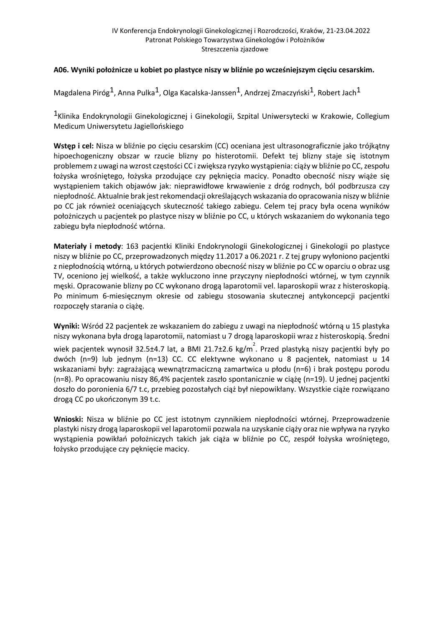# **A06. Wyniki położnicze u kobiet po plastyce niszy w bliźnie po wcześniejszym cięciu cesarskim.**

Magdalena Piróg<sup>1</sup>, Anna Pulka<sup>1</sup>, Olga Kacalska-Janssen<sup>1</sup>, Andrzej Zmaczyński<sup>1</sup>, Robert Jach<sup>1</sup>

<sup>1</sup>Klinika Endokrynologii Ginekologicznej i Ginekologii, Szpital Uniwersytecki w Krakowie, Collegium Medicum Uniwersytetu Jagiellońskiego

**Wstęp i cel:** Nisza w bliźnie po cięciu cesarskim (CC) oceniana jest ultrasonograficznie jako trójkątny hipoechogeniczny obszar w rzucie blizny po histerotomii. Defekt tej blizny staje się istotnym problemem z uwagi na wzrost częstości CC i zwiększa ryzyko wystąpienia: ciąży w bliźnie po CC, zespołu łożyska wrośniętego, łożyska przodujące czy pęknięcia macicy. Ponadto obecność niszy wiąże się wystąpieniem takich objawów jak: nieprawidłowe krwawienie z dróg rodnych, ból podbrzusza czy niepłodność. Aktualnie brak jest rekomendacji określających wskazania do opracowania niszy w bliźnie po CC jak również oceniających skuteczność takiego zabiegu. Celem tej pracy była ocena wyników położniczych u pacjentek po plastyce niszy w bliźnie po CC, u których wskazaniem do wykonania tego zabiegu była niepłodność wtórna.

**Materiały i metody**: 163 pacjentki Kliniki Endokrynologii Ginekologicznej i Ginekologii po plastyce niszy w bliźnie po CC, przeprowadzonych między 11.2017 a 06.2021 r. Z tej grupy wyłoniono pacjentki z niepłodnością wtórną, u których potwierdzono obecność niszy w bliźnie po CC w oparciu o obraz usg TV, oceniono jej wielkość, a także wykluczono inne przyczyny niepłodności wtórnej, w tym czynnik męski. Opracowanie blizny po CC wykonano drogą laparotomii vel. laparoskopii wraz z histeroskopią. Po minimum 6-miesięcznym okresie od zabiegu stosowania skutecznej antykoncepcji pacjentki rozpoczęły starania o ciążę.

**Wyniki:** Wśród 22 pacjentek ze wskazaniem do zabiegu z uwagi na niepłodność wtórną u 15 plastyka niszy wykonana była drogą laparotomii, natomiast u 7 drogą laparoskopii wraz z histeroskopią. Średni wiek pacjentek wynosił 32.5±4.7 lat, a BMI 21.7±2.6 kg/m<sup>2</sup>. Przed plastyką niszy pacjentki były po dwóch (n=9) lub jednym (n=13) CC. CC elektywne wykonano u 8 pacjentek, natomiast u 14 wskazaniami były: zagrażającą wewnątrzmaciczną zamartwica u płodu (n=6) i brak postępu porodu (n=8). Po opracowaniu niszy 86,4% pacjentek zaszło spontanicznie w ciążę (n=19). U jednej pacjentki doszło do poronienia 6/7 t.c, przebieg pozostałych ciąż był niepowikłany. Wszystkie ciąże rozwiązano drogą CC po ukończonym 39 t.c.

**Wnioski:** Nisza w bliźnie po CC jest istotnym czynnikiem niepłodności wtórnej. Przeprowadzenie plastyki niszy drogą laparoskopii vel laparotomii pozwala na uzyskanie ciąży oraz nie wpływa na ryzyko wystąpienia powikłań położniczych takich jak ciąża w bliźnie po CC, zespół łożyska wrośniętego, łożysko przodujące czy pęknięcie macicy.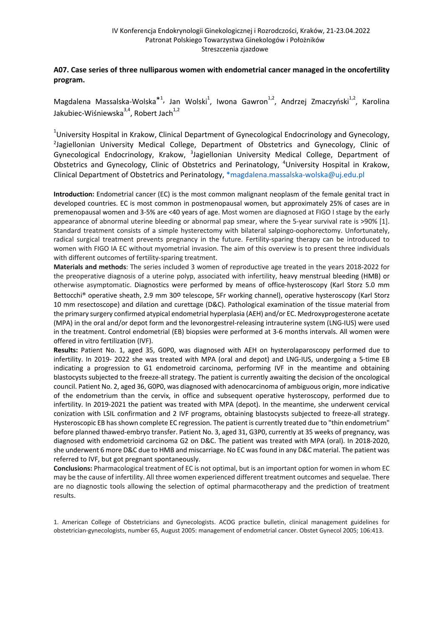## **A07. Case series of three nulliparous women with endometrial cancer managed in the oncofertility program.**

Magdalena Massalska-Wolska<sup>\*1</sup>, Jan Wolski<sup>1</sup>, Iwona Gawron<sup>1,2</sup>, Andrzej Zmaczyński<sup>1,2</sup>, Karolina Jakubiec-Wiśniewska $3,4$ , Robert Jach $1,2$ 

<sup>1</sup>University Hospital in Krakow, Clinical Department of Gynecological Endocrinology and Gynecology,<br><sup>2</sup>Lagiellonian, University, Medical, College, Department, of Obstetrics, and Gynecology, Clinic of <sup>2</sup>Jagiellonian University Medical College, Department of Obstetrics and Gynecology, Clinic of Gynecological Endocrinology, Krakow, <sup>3</sup>Jagiellonian University Medical College, Department of Obstetrics and Gynecology, Clinic of Obstetrics and Perinatology, <sup>4</sup>University Hospital in Krakow, Clinical Department of Obstetrics and Perinatology, \*magdalena.massalska-wolska@uj.edu.pl

**Introduction:** Endometrial cancer (EC) is the most common malignant neoplasm of the female genital tract in developed countries. EC is most common in postmenopausal women, but approximately 25% of cases are in premenopausal women and 3-5% are <40 years of age. Most women are diagnosed at FIGO I stage by the early appearance of abnormal uterine bleeding or abnormal pap smear, where the 5-year survival rate is >90% [1]. Standard treatment consists of a simple hysterectomy with bilateral salpingo-oophorectomy. Unfortunately, radical surgical treatment prevents pregnancy in the future. Fertility-sparing therapy can be introduced to women with FIGO IA EC without myometrial invasion. The aim of this overview is to present three individuals with different outcomes of fertility-sparing treatment.

**Materials and methods**: The series included 3 women of reproductive age treated in the years 2018-2022 for the preoperative diagnosis of a uterine polyp, associated with infertility, heavy menstrual bleeding (HMB) or otherwise asymptomatic. Diagnostics were performed by means of office-hysteroscopy (Karl Storz 5.0 mm Bettocchi® operative sheath, 2.9 mm 30º telescope, 5Fr working channel), operative hysteroscopy (Karl Storz 10 mm resectoscope) and dilation and curettage (D&C). Pathological examination of the tissue material from the primary surgery confirmed atypical endometrial hyperplasia (AEH) and/or EC. Medroxyprogesterone acetate (MPA) in the oral and/or depot form and the levonorgestrel-releasing intrauterine system (LNG-IUS) were used in the treatment. Control endometrial (EB) biopsies were performed at 3-6 months intervals. All women were offered in vitro fertilization (IVF).

**Results:** Patient No. 1, aged 35, G0P0, was diagnosed with AEH on hysterolaparoscopy performed due to infertility. In 2019- 2022 she was treated with MPA (oral and depot) and LNG-IUS, undergoing a 5-time EB indicating a progression to G1 endometroid carcinoma, performing IVF in the meantime and obtaining blastocysts subjected to the freeze-all strategy. The patient is currently awaiting the decision of the oncological council. Patient No. 2, aged 36, G0P0, was diagnosed with adenocarcinoma of ambiguous origin, more indicative of the endometrium than the cervix, in office and subsequent operative hysteroscopy, performed due to infertility. In 2019-2021 the patient was treated with MPA (depot). In the meantime, she underwent cervical conization with LSIL confirmation and 2 IVF programs, obtaining blastocysts subjected to freeze-all strategy. Hysteroscopic EB has shown complete EC regression. The patient is currently treated due to "thin endometrium" before planned thawed-embryo transfer. Patient No. 3, aged 31, G3P0, currently at 35 weeks of pregnancy, was diagnosed with endometrioid carcinoma G2 on D&C. The patient was treated with MPA (oral). In 2018-2020, she underwent 6 more D&C due to HMB and miscarriage. No EC was found in any D&C material. The patient was referred to IVF, but got pregnant spontaneously.

**Conclusions:** Pharmacological treatment of EC is not optimal, but is an important option for women in whom EC may be the cause of infertility. All three women experienced different treatment outcomes and sequelae. There are no diagnostic tools allowing the selection of optimal pharmacotherapy and the prediction of treatment results.

1. American College of Obstetricians and Gynecologists. ACOG practice bulletin, clinical management guidelines for obstetrician-gynecologists, number 65, August 2005: management of endometrial cancer. Obstet Gynecol 2005; 106:413.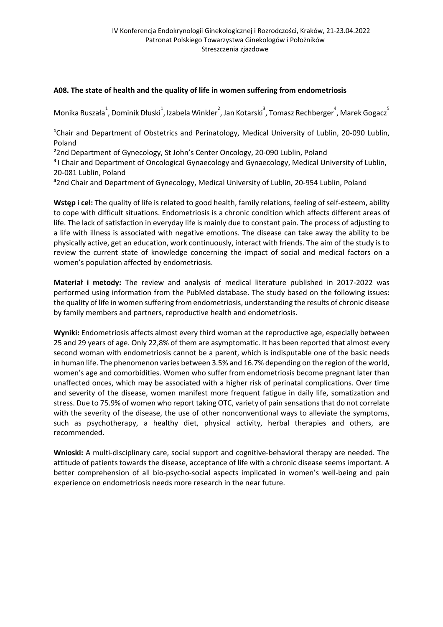# **A08. The state of health and the quality of life in women suffering from endometriosis**

Monika Ruszała $^1$ , Dominik Dłuski $^1$ , Izabela Winkler $^2$ , Jan Kotarski $^3$ , Tomasz Rechberger $^4$ , Marek Gogacz $^5$ 

**1** Chair and Department of Obstetrics and Perinatology, Medical University of Lublin, 20-090 Lublin, Poland

**2** 2nd Department of Gynecology, St John's Center Oncology, 20-090 Lublin, Poland

**<sup>3</sup>**I Chair and Department of Oncological Gynaecology and Gynaecology, Medical University of Lublin, 20-081 Lublin, Poland

**4** 2nd Chair and Department of Gynecology, Medical University of Lublin, 20-954 Lublin, Poland

**Wstęp i cel:** The quality of life is related to good health, family relations, feeling of self-esteem, ability to cope with difficult situations. Endometriosis is a chronic condition which affects different areas of life. The lack of satisfaction in everyday life is mainly due to constant pain. The process of adjusting to a life with illness is associated with negative emotions. The disease can take away the ability to be physically active, get an education, work continuously, interact with friends. The aim of the study is to review the current state of knowledge concerning the impact of social and medical factors on a women's population affected by endometriosis.

**Materiał i metody:** The review and analysis of medical literature published in 2017-2022 was performed using information from the PubMed database. The study based on the following issues: the quality of life in women suffering from endometriosis, understanding the results of chronic disease by family members and partners, reproductive health and endometriosis.

**Wyniki:** Endometriosis affects almost every third woman at the reproductive age, especially between 25 and 29 years of age. Only 22,8% of them are asymptomatic. It has been reported that almost every second woman with endometriosis cannot be a parent, which is indisputable one of the basic needs in human life. The phenomenon varies between 3.5% and 16.7% depending on the region of the world, women's age and comorbidities. Women who suffer from endometriosis become pregnant later than unaffected onces, which may be associated with a higher risk of perinatal complications. Over time and severity of the disease, women manifest more frequent fatigue in daily life, somatization and stress. Due to 75.9% of women who report taking OTC, variety of pain sensations that do not correlate with the severity of the disease, the use of other nonconventional ways to alleviate the symptoms, such as psychotherapy, a healthy diet, physical activity, herbal therapies and others, are recommended.

**Wnioski:** A multi-disciplinary care, social support and cognitive-behavioral therapy are needed. The attitude of patients towards the disease, acceptance of life with a chronic disease seems important. A better comprehension of all bio-psycho-social aspects implicated in women's well-being and pain experience on endometriosis needs more research in the near future.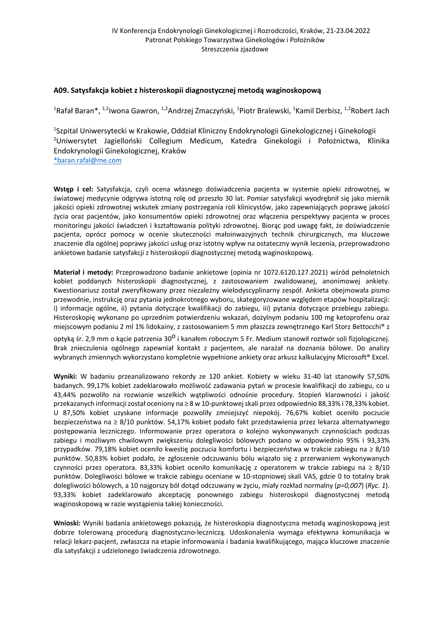#### **A09. Satysfakcja kobiet z histeroskopii diagnostycznej metodą waginoskopową**

<sup>1</sup>Rafał Baran\*, <sup>1,2</sup>Iwona Gawron, <sup>1,2</sup>Andrzej Zmaczyński, <sup>1</sup>Piotr Bralewski, <sup>1</sup>Kamil Derbisz, <sup>1,2</sup>Robert Jach

<sup>1</sup>Szpital Uniwersytecki w Krakowie, Oddział Kliniczny Endokrynologii Ginekologicznej i Ginekologii <sup>2</sup>Uniwersytet Jagielloński Collegium Medicum, Katedra Ginekologii i Położnictwa, Klinika Endokrynologii Ginekologicznej, Kraków

\*baran.rafal@me.com

**Wstęp i cel:** Satysfakcja, czyli ocena własnego doświadczenia pacjenta w systemie opieki zdrowotnej, w światowej medycynie odgrywa istotną rolę od przeszło 30 lat. Pomiar satysfakcji wyodrębnił się jako miernik jakości opieki zdrowotnej wskutek zmiany postrzegania roli klinicystów, jako zapewniających poprawę jakości życia oraz pacjentów, jako konsumentów opieki zdrowotnej oraz włączenia perspektywy pacjenta w proces monitoringu jakości świadczeń i kształtowania polityki zdrowotnej. Biorąc pod uwagę fakt, że doświadczenie pacjenta, oprócz pomocy w ocenie skuteczności małoinwazyjnych technik chirurgicznych, ma kluczowe znaczenie dla ogólnej poprawy jakości usług oraz istotny wpływ na ostateczny wynik leczenia, przeprowadzono ankietowe badanie satysfakcji z histeroskopii diagnostycznej metodą waginoskopową.

**Materiał i metody:** Przeprowadzono badanie ankietowe (opinia nr 1072.6120.127.2021) wśród pełnoletnich kobiet poddanych histeroskopii diagnostycznej, z zastosowaniem zwalidowanej, anonimowej ankiety. Kwestionariusz został zweryfikowany przez niezależny wielodyscyplinarny zespół. Ankieta obejmowała pismo przewodnie, instrukcję oraz pytania jednokrotnego wyboru, skategoryzowane względem etapów hospitalizacji: i) informacje ogólne, ii) pytania dotyczące kwalifikacji do zabiegu, iii) pytania dotyczące przebiegu zabiegu. Histeroskopię wykonano po uprzednim potwierdzeniu wskazań, dożylnym podaniu 100 mg ketoprofenu oraz miejscowym podaniu 2 ml 1% lidokainy, z zastosowaniem 5 mm płaszcza zewnętrznego Karl Storz Bettocchi® z

optyka śr. 2,9 mm o kacie patrzenia 30<sup>0</sup> i kanałem roboczym 5 Fr. Medium stanowił roztwór soli fiziologicznej. Brak znieczulenia ogólnego zapewniał kontakt z pacjentem, ale narażał na doznania bólowe. Do analizy wybranych zmiennych wykorzystano kompletnie wypełnione ankiety oraz arkusz kalkulacyjny Microsoft® Excel.

**Wyniki:** W badaniu przeanalizowano rekordy ze 120 ankiet. Kobiety w wieku 31-40 lat stanowiły 57,50% badanych. 99,17% kobiet zadeklarowało możliwość zadawania pytań w procesie kwalifikacji do zabiegu, co u 43,44% pozwoliło na rozwianie wszelkich wątpliwości odnośnie procedury. Stopień klarowności i jakość przekazanych informacji został oceniony na ≥ 8 w 10-punktowej skali przez odpowiednio 88,33% i 78,33% kobiet. U 87,50% kobiet uzyskane informacje pozwoliły zmniejszyć niepokój. 76,67% kobiet oceniło poczucie bezpieczeństwa na ≥ 8/10 punktów. 54,17% kobiet podało fakt przedstawienia przez lekarza alternatywnego postępowania leczniczego. Informowanie przez operatora o kolejno wykonywanych czynnościach podczas zabiegu i możliwym chwilowym zwiększeniu dolegliwości bólowych podano w odpowiednio 95% i 93,33% przypadków. 79,18% kobiet oceniło kwestię poczucia komfortu i bezpieczeństwa w trakcie zabiegu na ≥ 8/10 punktów. 50,83% kobiet podało, że zgłoszenie odczuwaniu bólu wiązało się z przerwaniem wykonywanych czynności przez operatora. 83,33% kobiet oceniło komunikację z operatorem w trakcie zabiegu na ≥ 8/10 punktów. Dolegliwości bólowe w trakcie zabiegu oceniane w 10-stopniowej skali VAS, gdzie 0 to totalny brak dolegliwości bólowych, a 10 najgorszy ból dotąd odczuwany w życiu, miały rozkład normalny (*p=0,007*) (*Ryc. 1*). 93,33% kobiet zadeklarowało akceptację ponownego zabiegu histeroskopii diagnostycznej metodą waginoskopową w razie wystąpienia takiej konieczności.

**Wnioski:** Wyniki badania ankietowego pokazują, że histeroskopia diagnostyczna metodą waginoskopową jest dobrze tolerowaną procedurą diagnostyczno-leczniczą. Udoskonalenia wymaga efektywna komunikacja w relacji lekarz-pacjent, zwłaszcza na etapie informowania i badania kwalifikującego, mająca kluczowe znaczenie dla satysfakcji z udzielonego świadczenia zdrowotnego.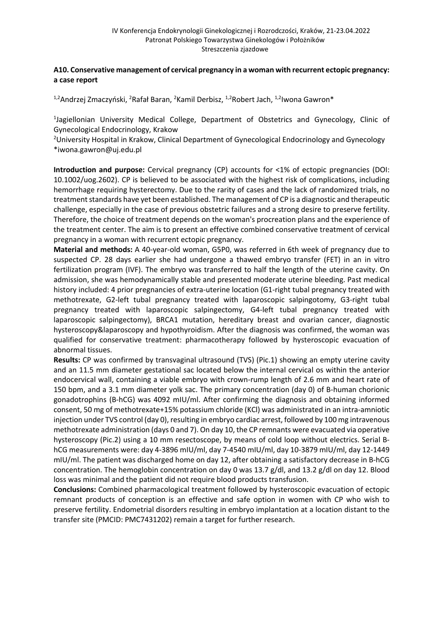# **A10. Conservative management of cervical pregnancy in a woman with recurrent ectopic pregnancy: a case report**

<sup>1,2</sup>Andrzej Zmaczyński, <sup>2</sup>Rafał Baran, <sup>2</sup>Kamil Derbisz, <sup>1,2</sup>Robert Jach, <sup>1,2</sup>Iwona Gawron\*

<sup>1</sup>Jagiellonian University Medical College, Department of Obstetrics and Gynecology, Clinic of Gynecological Endocrinology, Krakow

<sup>2</sup>University Hospital in Krakow, Clinical Department of Gynecological Endocrinology and Gynecology \*iwona.gawron@uj.edu.pl

**Introduction and purpose:** Cervical pregnancy (CP) accounts for <1% of ectopic pregnancies (DOI: 10.1002/uog.2602). CP is believed to be associated with the highest risk of complications, including hemorrhage requiring hysterectomy. Due to the rarity of cases and the lack of randomized trials, no treatment standards have yet been established. The management of CP is a diagnostic and therapeutic challenge, especially in the case of previous obstetric failures and a strong desire to preserve fertility. Therefore, the choice of treatment depends on the woman's procreation plans and the experience of the treatment center. The aim is to present an effective combined conservative treatment of cervical pregnancy in a woman with recurrent ectopic pregnancy.

**Material and methods:** A 40-year-old woman, G5P0, was referred in 6th week of pregnancy due to suspected CP. 28 days earlier she had undergone a thawed embryo transfer (FET) in an in vitro fertilization program (IVF). The embryo was transferred to half the length of the uterine cavity. On admission, she was hemodynamically stable and presented moderate uterine bleeding. Past medical history included: 4 prior pregnancies of extra-uterine location (G1-right tubal pregnancy treated with methotrexate, G2-left tubal pregnancy treated with laparoscopic salpingotomy, G3-right tubal pregnancy treated with laparoscopic salpingectomy, G4-left tubal pregnancy treated with laparoscopic salpingectomy), BRCA1 mutation, hereditary breast and ovarian cancer, diagnostic hysteroscopy&laparoscopy and hypothyroidism. After the diagnosis was confirmed, the woman was qualified for conservative treatment: pharmacotherapy followed by hysteroscopic evacuation of abnormal tissues.

**Results:** CP was confirmed by transvaginal ultrasound (TVS) (Pic.1) showing an empty uterine cavity and an 11.5 mm diameter gestational sac located below the internal cervical os within the anterior endocervical wall, containing a viable embryo with crown-rump length of 2.6 mm and heart rate of 150 bpm, and a 3.1 mm diameter yolk sac. The primary concentration (day 0) of B-human chorionic gonadotrophins (B-hCG) was 4092 mIU/ml. After confirming the diagnosis and obtaining informed consent, 50 mg of methotrexate+15% potassium chloride (KCl) was administrated in an intra-amniotic injection under TVS control (day 0), resulting in embryo cardiac arrest, followed by 100 mg intravenous methotrexate administration (days 0 and 7). On day 10, the CP remnants were evacuated via operative hysteroscopy (Pic.2) using a 10 mm resectoscope, by means of cold loop without electrics. Serial BhCG measurements were: day 4-3896 mIU/ml, day 7-4540 mIU/ml, day 10-3879 mIU/ml, day 12-1449 mIU/ml. The patient was discharged home on day 12, after obtaining a satisfactory decrease in B-hCG concentration. The hemoglobin concentration on day 0 was 13.7 g/dl, and 13.2 g/dl on day 12. Blood loss was minimal and the patient did not require blood products transfusion.

**Conclusions:** Combined pharmacological treatment followed by hysteroscopic evacuation of ectopic remnant products of conception is an effective and safe option in women with CP who wish to preserve fertility. Endometrial disorders resulting in embryo implantation at a location distant to the transfer site (PMCID: PMC7431202) remain a target for further research.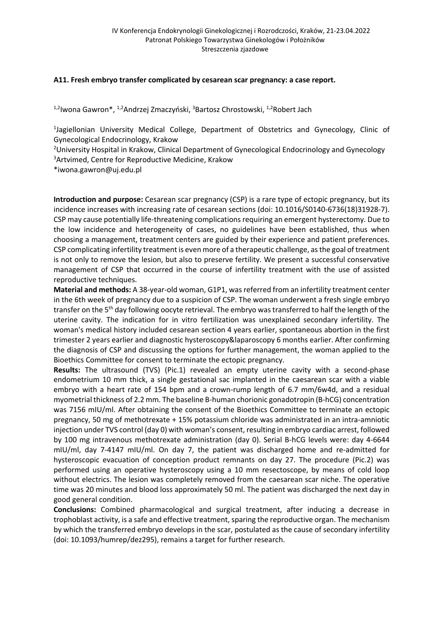#### **A11. Fresh embryo transfer complicated by cesarean scar pregnancy: a case report.**

<sup>1,2</sup>lwona Gawron\*, <sup>1,2</sup>Andrzej Zmaczyński, <sup>3</sup>Bartosz Chrostowski, <sup>1,2</sup>Robert Jach

<sup>1</sup>Jagiellonian University Medical College, Department of Obstetrics and Gynecology, Clinic of Gynecological Endocrinology, Krakow

<sup>2</sup>University Hospital in Krakow, Clinical Department of Gynecological Endocrinology and Gynecology <sup>3</sup>Artvimed, Centre for Reproductive Medicine, Krakow

\*iwona.gawron@uj.edu.pl

**Introduction and purpose:** Cesarean scar pregnancy (CSP) is a rare type of ectopic pregnancy, but its incidence increases with increasing rate of cesarean sections (doi: 10.1016/S0140-6736(18)31928-7). CSP may cause potentially life-threatening complications requiring an emergent hysterectomy. Due to the low incidence and heterogeneity of cases, no guidelines have been established, thus when choosing a management, treatment centers are guided by their experience and patient preferences. CSP complicating infertility treatment is even more of a therapeutic challenge, as the goal of treatment is not only to remove the lesion, but also to preserve fertility. We present a successful conservative management of CSP that occurred in the course of infertility treatment with the use of assisted reproductive techniques.

**Material and methods:** A 38-year-old woman, G1P1, was referred from an infertility treatment center in the 6th week of pregnancy due to a suspicion of CSP. The woman underwent a fresh single embryo transfer on the 5<sup>th</sup> day following oocyte retrieval. The embryo was transferred to half the length of the uterine cavity. The indication for in vitro fertilization was unexplained secondary infertility. The woman's medical history included cesarean section 4 years earlier, spontaneous abortion in the first trimester 2 years earlier and diagnostic hysteroscopy&laparoscopy 6 months earlier. After confirming the diagnosis of CSP and discussing the options for further management, the woman applied to the Bioethics Committee for consent to terminate the ectopic pregnancy.

**Results:** The ultrasound (TVS) (Pic.1) revealed an empty uterine cavity with a second-phase endometrium 10 mm thick, a single gestational sac implanted in the caesarean scar with a viable embryo with a heart rate of 154 bpm and a crown-rump length of 6.7 mm/6w4d, and a residual myometrial thickness of 2.2 mm. The baseline B-human chorionic gonadotropin (B-hCG) concentration was 7156 mIU/ml. After obtaining the consent of the Bioethics Committee to terminate an ectopic pregnancy, 50 mg of methotrexate + 15% potassium chloride was administrated in an intra-amniotic injection under TVS control (day 0) with woman's consent, resulting in embryo cardiac arrest, followed by 100 mg intravenous methotrexate administration (day 0). Serial B-hCG levels were: day 4-6644 mIU/ml, day 7-4147 mIU/ml. On day 7, the patient was discharged home and re-admitted for hysteroscopic evacuation of conception product remnants on day 27. The procedure (Pic.2) was performed using an operative hysteroscopy using a 10 mm resectoscope, by means of cold loop without electrics. The lesion was completely removed from the caesarean scar niche. The operative time was 20 minutes and blood loss approximately 50 ml. The patient was discharged the next day in good general condition.

**Conclusions:** Combined pharmacological and surgical treatment, after inducing a decrease in trophoblast activity, is a safe and effective treatment, sparing the reproductive organ. The mechanism by which the transferred embryo develops in the scar, postulated as the cause of secondary infertility (doi: 10.1093/humrep/dez295), remains a target for further research.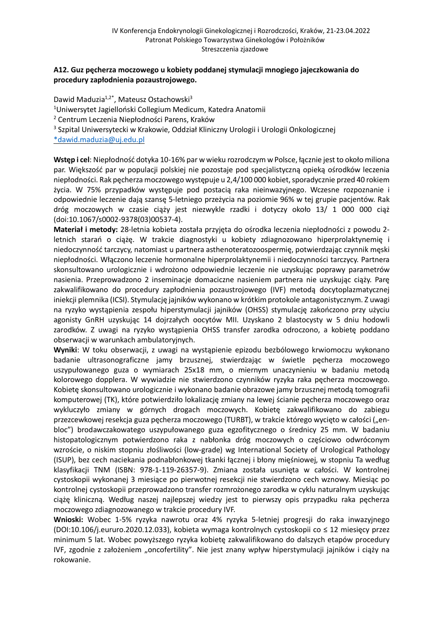### **A12. Guz pęcherza moczowego u kobiety poddanej stymulacji mnogiego jajeczkowania do procedury zapłodnienia pozaustrojowego.**

Dawid Maduzia<sup>1,2\*</sup>, Mateusz Ostachowski<sup>3</sup> <sup>1</sup>Uniwersytet Jagielloński Collegium Medicum, Katedra Anatomii <sup>2</sup> Centrum Leczenia Niepłodności Parens, Kraków <sup>3</sup> Szpital Uniwersytecki w Krakowie, Oddział Kliniczny Urologii i Urologii Onkologicznej \*dawid.maduzia@uj.edu.pl

**Wstęp i cel**: Niepłodność dotyka 10-16% par w wieku rozrodczym w Polsce, łącznie jest to około miliona par. Większość par w populacji polskiej nie pozostaje pod specjalistyczną opieką ośrodków leczenia niepłodności. Rak pęcherza moczowego występuje u 2,4/100 000 kobiet, sporadycznie przed 40 rokiem życia. W 75% przypadków występuje pod postacią raka nieinwazyjnego. Wczesne rozpoznanie i odpowiednie leczenie dają szansę 5-letniego przeżycia na poziomie 96% w tej grupie pacjentów. Rak dróg moczowych w czasie ciąży jest niezwykle rzadki i dotyczy około 13/ 1 000 000 ciąż (doi:10.1067/s0002-9378(03)00537-4).

**Materiał i metody:** 28-letnia kobieta została przyjęta do ośrodka leczenia niepłodności z powodu 2 letnich starań o ciążę. W trakcie diagnostyki u kobiety zdiagnozowano hiperprolaktynemię i niedoczynność tarczycy, natomiast u partnera asthenoteratozoospermię, potwierdzając czynnik męski niepłodności. Włączono leczenie hormonalne hiperprolaktynemii i niedoczynności tarczycy. Partnera skonsultowano urologicznie i wdrożono odpowiednie leczenie nie uzyskując poprawy parametrów nasienia. Przeprowadzono 2 inseminacje domaciczne nasieniem partnera nie uzyskując ciąży. Parę zakwalifikowano do procedury zapłodnienia pozaustrojowego (IVF) metodą docytoplazmatycznej iniekcji plemnika (ICSI). Stymulację jajników wykonano w krótkimprotokole antagonistycznym. Z uwagi na ryzyko wystąpienia zespołu hiperstymulacji jajników (OHSS) stymulację zakończono przy użyciu agonisty GnRH uzyskując 14 dojrzałych oocytów MII. Uzyskano 2 blastocysty w 5 dniu hodowli zarodków. Z uwagi na ryzyko wystąpienia OHSS transfer zarodka odroczono, a kobietę poddano obserwacji w warunkach ambulatoryjnych.

**Wyniki**: W toku obserwacji, z uwagi na wystąpienie epizodu bezbólowego krwiomoczu wykonano badanie ultrasonograficzne jamy brzusznej, stwierdzając w świetle pęcherza moczowego uszypułowanego guza o wymiarach 25x18 mm, o miernym unaczynieniu w badaniu metodą kolorowego dopplera. W wywiadzie nie stwierdzono czynników ryzyka raka pęcherza moczowego. Kobietę skonsultowano urologicznie i wykonano badanie obrazowe jamy brzusznej metodą tomografii komputerowej (TK), które potwierdziło lokalizację zmiany na lewej ścianie pęcherza moczowego oraz wykluczyło zmiany w górnych drogach moczowych. Kobietę zakwalifikowano do zabiegu przezcewkowej resekcja guza pęcherza moczowego (TURBT), w trakcie którego wycięto w całości ("enbloc") brodawczakowatego uszypułowanego guza egzofitycznego o średnicy 25 mm. W badaniu histopatologicznym potwierdzono raka z nabłonka dróg moczowych o częściowo odwróconym wzroście, o niskim stopniu złośliwości (low-grade) wg International Society of Urological Pathology (ISUP), bez cech naciekania podnabłonkowej tkanki łącznej i błony mięśniowej, w stopniu Ta według klasyfikacji TNM (ISBN: 978-1-119-26357-9). Zmiana została usunięta w całości. W kontrolnej cystoskopii wykonanej 3 miesiące po pierwotnej resekcji nie stwierdzono cech wznowy. Miesiąc po kontrolnej cystoskopii przeprowadzono transfer rozmrożonego zarodka w cyklu naturalnym uzyskując ciążę kliniczną. Według naszej najlepszej wiedzy jest to pierwszy opis przypadku raka pęcherza moczowego zdiagnozowanego w trakcie procedury IVF.

**Wnioski:** Wobec 1-5% ryzyka nawrotu oraz 4% ryzyka 5-letniej progresji do raka inwazyjnego (DOI:10.106/j.eururo.2020.12.033), kobieta wymaga kontrolnych cystoskopii co ≤ 12 miesięcy przez minimum 5 lat. Wobec powyższego ryzyka kobietę zakwalifikowano do dalszych etapów procedury IVF, zgodnie z założeniem "oncofertility". Nie jest znany wpływ hiperstymulacji jajników i ciąży na rokowanie.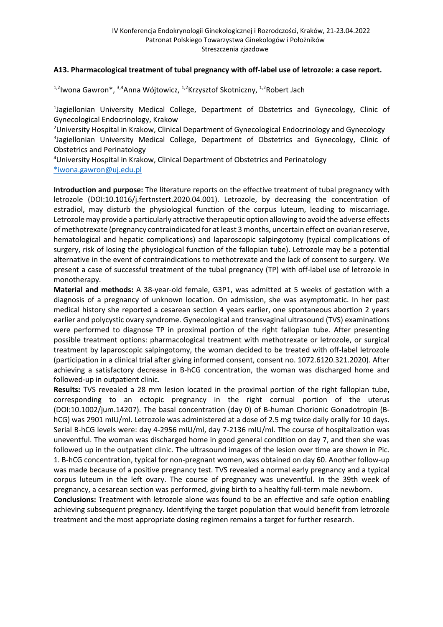#### **A13. Pharmacological treatment of tubal pregnancy with off-label use of letrozole: a case report.**

<sup>1,2</sup>Iwona Gawron\*, <sup>3,4</sup>Anna Wójtowicz, <sup>1,2</sup>Krzysztof Skotniczny, <sup>1,2</sup>Robert Jach

<sup>1</sup>Jagiellonian University Medical College, Department of Obstetrics and Gynecology, Clinic of Gynecological Endocrinology, Krakow

<sup>2</sup>University Hospital in Krakow, Clinical Department of Gynecological Endocrinology and Gynecology <sup>3</sup>Jagiellonian University Medical College, Department of Obstetrics and Gynecology, Clinic of Obstetrics and Perinatology

4 University Hospital in Krakow, Clinical Department of Obstetrics and Perinatology \*iwona.gawron@uj.edu.pl

**Introduction and purpose:** The literature reports on the effective treatment of tubal pregnancy with letrozole (DOI:10.1016/j.fertnstert.2020.04.001). Letrozole, by decreasing the concentration of estradiol, may disturb the physiological function of the corpus luteum, leading to miscarriage. Letrozole may provide a particularly attractive therapeutic option allowing to avoid the adverse effects of methotrexate (pregnancy contraindicated for at least 3 months, uncertain effect on ovarian reserve, hematological and hepatic complications) and laparoscopic salpingotomy (typical complications of surgery, risk of losing the physiological function of the fallopian tube). Letrozole may be a potential alternative in the event of contraindications to methotrexate and the lack of consent to surgery. We present a case of successful treatment of the tubal pregnancy (TP) with off-label use of letrozole in monotherapy.

**Material and methods:** A 38-year-old female, G3P1, was admitted at 5 weeks of gestation with a diagnosis of a pregnancy of unknown location. On admission, she was asymptomatic. In her past medical history she reported a cesarean section 4 years earlier, one spontaneous abortion 2 years earlier and polycystic ovary syndrome. Gynecological and transvaginal ultrasound (TVS) examinations were performed to diagnose TP in proximal portion of the right fallopian tube. After presenting possible treatment options: pharmacological treatment with methotrexate or letrozole, or surgical treatment by laparoscopic salpingotomy, the woman decided to be treated with off-label letrozole (participation in a clinical trial after giving informed consent, consent no. 1072.6120.321.2020). After achieving a satisfactory decrease in B-hCG concentration, the woman was discharged home and followed-up in outpatient clinic.

**Results:** TVS revealed a 28 mm lesion located in the proximal portion of the right fallopian tube, corresponding to an ectopic pregnancy in the right cornual portion of the uterus (DOI:10.1002/jum.14207). The basal concentration (day 0) of B-human Chorionic Gonadotropin (BhCG) was 2901 mIU/ml. Letrozole was administered at a dose of 2.5 mg twice daily orally for 10 days. Serial B-hCG levels were: day 4-2956 mIU/ml, day 7-2136 mIU/ml. The course of hospitalization was uneventful. The woman was discharged home in good general condition on day 7, and then she was followed up in the outpatient clinic. The ultrasound images of the lesion over time are shown in Pic. 1. B-hCG concentration, typical for non-pregnant women, was obtained on day 60. Another follow-up was made because of a positive pregnancy test. TVS revealed a normal early pregnancy and a typical corpus luteum in the left ovary. The course of pregnancy was uneventful. In the 39th week of pregnancy, a cesarean section was performed, giving birth to a healthy full-term male newborn.

**Conclusions:** Treatment with letrozole alone was found to be an effective and safe option enabling achieving subsequent pregnancy. Identifying the target population that would benefit from letrozole treatment and the most appropriate dosing regimen remains a target for further research.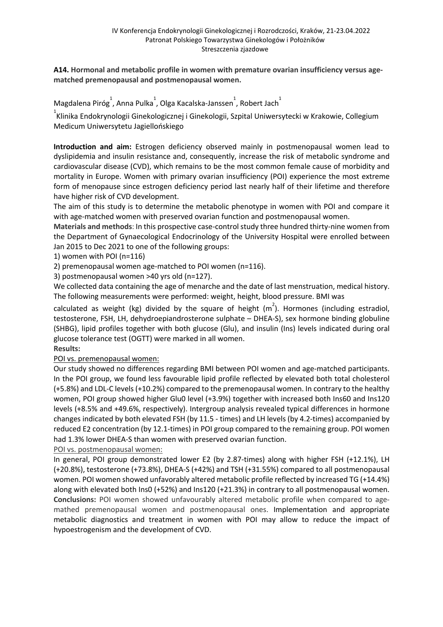**A14. Hormonal and metabolic profile in women with premature ovarian insufficiency versus agematched premenopausal and postmenopausal women.**

Magdalena Piróg , Anna Pulka 1, Olga Kacalska-Janssen 1, Robert Jach

<u>.</u><br>Klinika Endokrynologii Ginekologicznej i Ginekologii, Szpital Uniwersytecki w Krakowie, Collegium Medicum Uniwersytetu Jagiellońskiego

**Introduction and aim:** Estrogen deficiency observed mainly in postmenopausal women lead to dyslipidemia and insulin resistance and, consequently, increase the risk of metabolic syndrome and cardiovascular disease (CVD), which remains to be the most common female cause of morbidity and mortality in Europe. Women with primary ovarian insufficiency (POI) experience the most extreme form of menopause since estrogen deficiency period last nearly half of their lifetime and therefore have higher risk of CVD development.

The aim of this study is to determine the metabolic phenotype in women with POI and compare it with age-matched women with preserved ovarian function and postmenopausal women.

**Materials and methods**: In this prospective case-control study three hundred thirty-nine women from the Department of Gynaecological Endocrinology of the University Hospital were enrolled between Jan 2015 to Dec 2021 to one of the following groups:

1) women with POI (n=116)

2) premenopausal women age-matched to POI women (n=116).

3) postmenopausal women >40 yrs old (n=127).

We collected data containing the age of menarche and the date of last menstruation, medical history. The following measurements were performed: weight, height, blood pressure. BMI was

calculated as weight (kg) divided by the square of height  $(m^2)$ . Hormones (including estradiol, testosterone, FSH, LH, dehydroepiandrosterone sulphate – DHEA-S), sex hormone binding globuline (SHBG), lipid profiles together with both glucose (Glu), and insulin (Ins) levels indicated during oral glucose tolerance test (OGTT) were marked in all women.

**Results:** 

POI vs. premenopausal women:

Our study showed no differences regarding BMI between POI women and age-matched participants. In the POI group, we found less favourable lipid profile reflected by elevated both total cholesterol (+5.8%) and LDL-C levels (+10.2%) compared to the premenopausal women. In contrary to the healthy women, POI group showed higher Glu0 level (+3.9%) together with increased both Ins60 and Ins120 levels (+8.5% and +49.6%, respectively). Intergroup analysis revealed typical differences in hormone changes indicated by both elevated FSH (by 11.5 - times) and LH levels (by 4.2-times) accompanied by reduced E2 concentration (by 12.1-times) in POI group compared to the remaining group. POI women had 1.3% lower DHEA-S than women with preserved ovarian function.

POI vs. postmenopausal women:

In general, POI group demonstrated lower E2 (by 2.87-times) along with higher FSH (+12.1%), LH (+20.8%), testosterone (+73.8%), DHEA-S (+42%) and TSH (+31.55%) compared to all postmenopausal women. POI women showed unfavorably altered metabolic profile reflected by increased TG (+14.4%) along with elevated both Ins0 (+52%) and Ins120 (+21.3%) in contrary to all postmenopausal women. **Conclusions:** POI women showed unfavourably altered metabolic profile when compared to agemathed premenopausal women and postmenopausal ones. Implementation and appropriate metabolic diagnostics and treatment in women with POI may allow to reduce the impact of hypoestrogenism and the development of CVD.